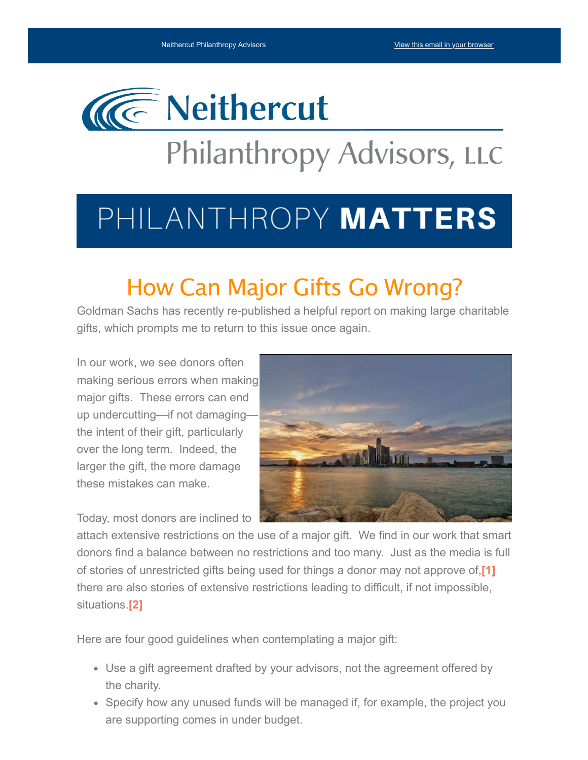

# Philanthropy Advisors, LLC

# PHILANTHROPY MATTERS

### How Can Major Gifts Go Wrong?

Goldman Sachs has recently re-published a helpful report on making large charitable gifts, which prompts me to return to this issue once again.

In our work, we see donors often making serious errors when making major gifts. These errors can end up undercutting—if not damaging the intent of their gift, particularly over the long term. Indeed, the larger the gift, the more damage these mistakes can make.

Today, most donors are inclined to

<span id="page-0-0"></span>

attach extensive restrictions on the use of a major gift. We find in our work that smart donors find a balance between no restrictions and too many. Just as the media is full of stories of unrestricted gifts being used for things a donor may not approve of,**[\[1\]](#page-1-0)** there are also stories of extensive restrictions leading to difficult, if not impossible, situations.**[\[2\]](#page-1-1)**

<span id="page-0-1"></span>Here are four good guidelines when contemplating a major gift:

- Use a gift agreement drafted by your advisors, not the agreement offered by the charity.
- Specify how any unused funds will be managed if, for example, the project you are supporting comes in under budget.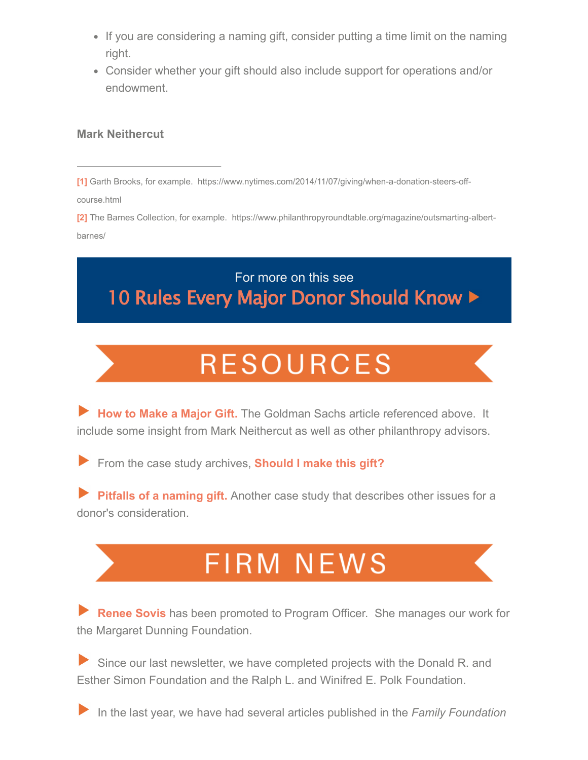- If you are considering a naming gift, consider putting a time limit on the naming right.
- Consider whether your gift should also include support for operations and/or endowment.

#### **Mark Neithercut**

<span id="page-1-0"></span>**[\[1\]](#page-0-0)** Garth Brooks, for example. https://www.nytimes.com/2014/11/07/giving/when-a-donation-steers-offcourse.html

<span id="page-1-1"></span>**[\[2\]](#page-0-1)** The Barnes Collection, for example. https://www.philanthropyroundtable.org/magazine/outsmarting-albertbarnes/

For more on this see 10 Rules Every Major Donor [Should](https://neithercutphilanthropy.com/wp-content/uploads/2020/01/rulesmajordonor10.27.15.pdf) Know >

## **RESOURCES**

**[H](https://cep.org/portfolio/crucial-donors-how-major-individual-givers-can-best-support-nonprofits/)[ow to Make a Major Gift.](https://neithercutphilanthropy.com/wp-content/uploads/2022/05/2022howtomakeamajorgift.pdf)** The Goldman Sachs article referenced above. It include some insight from Mark Neithercut as well as other philanthropy advisors.

From the case study archives, **[S](https://secureservercdn.net/198.71.233.138/fg0.6a4.myftpupload.com/wp-content/files_mf/144595325810RulesMajorDonor10.27.15.pdf)[hould I make this gift?](https://neithercutphilanthropy.com/should-i-make-this-gift/)**

**[Pitfalls of a naming gift.](https://neithercutphilanthropy.com/case-study-pitfalls-of-a-naming-gift/)** Another case study that describes other issues for a donor's consideration.

## **FIRM NEWS**

**[Renee Sovis](https://neithercutphilanthropy.com/who-we-are/renee-sovis-2/)** has been promoted to Program Officer. She manages our work for the Margaret Dunning Foundation.

Since our last newsletter, we have completed projects with the Donald R. and Esther Simon Foundation and the Ralph L. and Winifred E. Polk Foundation.

In the last year, we have had several articles published in the *Family Foundation*